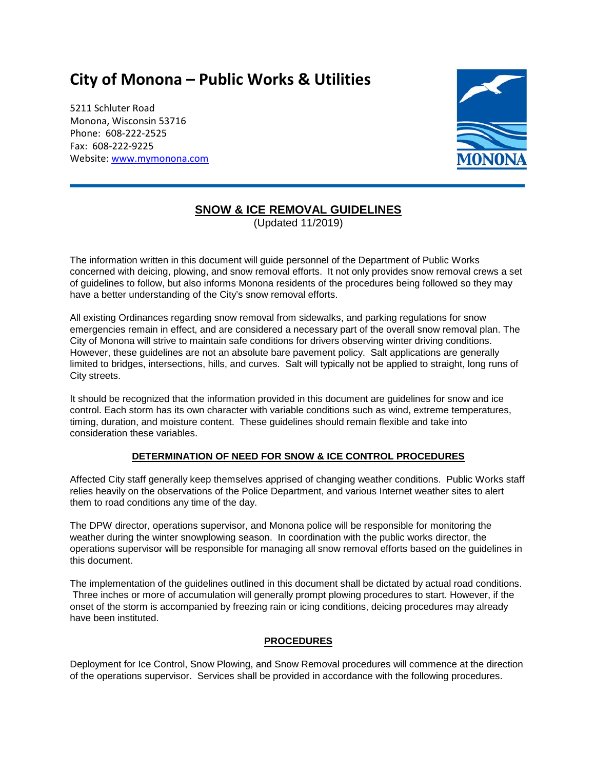# **City of Monona – Public Works & Utilities**

5211 Schluter Road Monona, Wisconsin 53716 Phone: 608-222-2525 Fax: 608-222-9225 Website[: www.mymonona.com](http://www.mymonona.com/)



# **SNOW & ICE REMOVAL GUIDELINES**

(Updated 11/2019)

The information written in this document will guide personnel of the Department of Public Works concerned with deicing, plowing, and snow removal efforts. It not only provides snow removal crews a set of guidelines to follow, but also informs Monona residents of the procedures being followed so they may have a better understanding of the City's snow removal efforts.

All existing Ordinances regarding snow removal from sidewalks, and parking regulations for snow emergencies remain in effect, and are considered a necessary part of the overall snow removal plan. The City of Monona will strive to maintain safe conditions for drivers observing winter driving conditions. However, these guidelines are not an absolute bare pavement policy. Salt applications are generally limited to bridges, intersections, hills, and curves. Salt will typically not be applied to straight, long runs of City streets.

It should be recognized that the information provided in this document are guidelines for snow and ice control. Each storm has its own character with variable conditions such as wind, extreme temperatures, timing, duration, and moisture content. These guidelines should remain flexible and take into consideration these variables.

## **DETERMINATION OF NEED FOR SNOW & ICE CONTROL PROCEDURES**

Affected City staff generally keep themselves apprised of changing weather conditions. Public Works staff relies heavily on the observations of the Police Department, and various Internet weather sites to alert them to road conditions any time of the day.

The DPW director, operations supervisor, and Monona police will be responsible for monitoring the weather during the winter snowplowing season. In coordination with the public works director, the operations supervisor will be responsible for managing all snow removal efforts based on the guidelines in this document.

The implementation of the guidelines outlined in this document shall be dictated by actual road conditions. Three inches or more of accumulation will generally prompt plowing procedures to start. However, if the onset of the storm is accompanied by freezing rain or icing conditions, deicing procedures may already have been instituted.

## **PROCEDURES**

Deployment for Ice Control, Snow Plowing, and Snow Removal procedures will commence at the direction of the operations supervisor. Services shall be provided in accordance with the following procedures.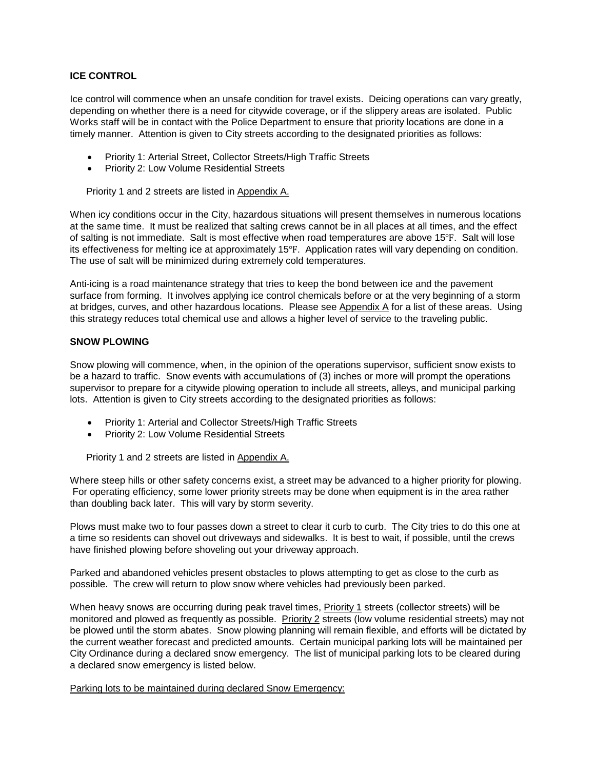#### **ICE CONTROL**

Ice control will commence when an unsafe condition for travel exists. Deicing operations can vary greatly, depending on whether there is a need for citywide coverage, or if the slippery areas are isolated. Public Works staff will be in contact with the Police Department to ensure that priority locations are done in a timely manner. Attention is given to City streets according to the designated priorities as follows:

- Priority 1: Arterial Street, Collector Streets/High Traffic Streets
- Priority 2: Low Volume Residential Streets

Priority 1 and 2 streets are listed in Appendix A.

When icy conditions occur in the City, hazardous situations will present themselves in numerous locations at the same time. It must be realized that salting crews cannot be in all places at all times, and the effect of salting is not immediate. Salt is most effective when road temperatures are above 15℉. Salt will lose its effectiveness for melting ice at approximately 15℉. Application rates will vary depending on condition. The use of salt will be minimized during extremely cold temperatures.

Anti-icing is a road maintenance strategy that tries to keep the bond between ice and the pavement surface from forming. It involves applying ice control chemicals before or at the very beginning of a storm at bridges, curves, and other hazardous locations. Please see Appendix A for a list of these areas. Using this strategy reduces total chemical use and allows a higher level of service to the traveling public.

#### **SNOW PLOWING**

Snow plowing will commence, when, in the opinion of the operations supervisor, sufficient snow exists to be a hazard to traffic. Snow events with accumulations of (3) inches or more will prompt the operations supervisor to prepare for a citywide plowing operation to include all streets, alleys, and municipal parking lots. Attention is given to City streets according to the designated priorities as follows:

- Priority 1: Arterial and Collector Streets/High Traffic Streets
- Priority 2: Low Volume Residential Streets

Priority 1 and 2 streets are listed in Appendix A.

Where steep hills or other safety concerns exist, a street may be advanced to a higher priority for plowing. For operating efficiency, some lower priority streets may be done when equipment is in the area rather than doubling back later. This will vary by storm severity.

Plows must make two to four passes down a street to clear it curb to curb. The City tries to do this one at a time so residents can shovel out driveways and sidewalks. It is best to wait, if possible, until the crews have finished plowing before shoveling out your driveway approach.

Parked and abandoned vehicles present obstacles to plows attempting to get as close to the curb as possible. The crew will return to plow snow where vehicles had previously been parked.

When heavy snows are occurring during peak travel times, Priority 1 streets (collector streets) will be monitored and plowed as frequently as possible. Priority 2 streets (low volume residential streets) may not be plowed until the storm abates. Snow plowing planning will remain flexible, and efforts will be dictated by the current weather forecast and predicted amounts. Certain municipal parking lots will be maintained per City Ordinance during a declared snow emergency. The list of municipal parking lots to be cleared during a declared snow emergency is listed below.

#### Parking lots to be maintained during declared Snow Emergency: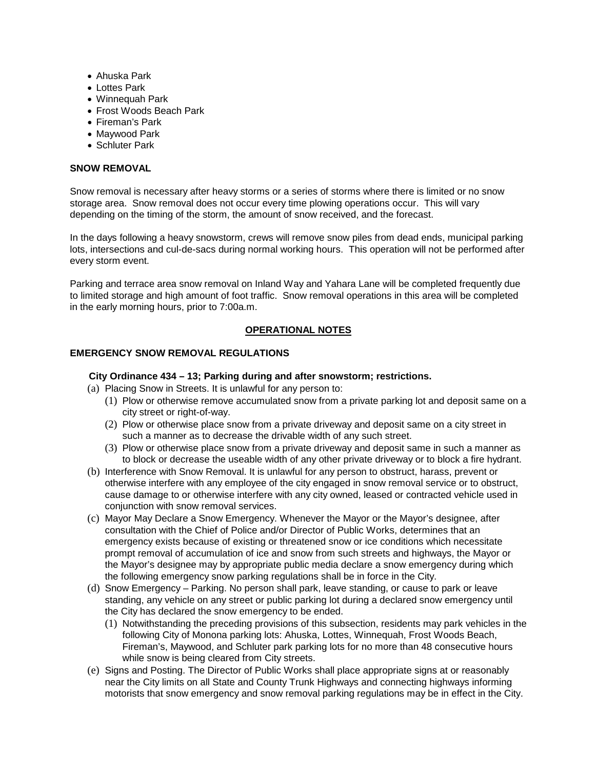- Ahuska Park
- Lottes Park
- Winnequah Park
- Frost Woods Beach Park
- Fireman's Park
- Maywood Park
- Schluter Park

#### **SNOW REMOVAL**

Snow removal is necessary after heavy storms or a series of storms where there is limited or no snow storage area. Snow removal does not occur every time plowing operations occur. This will vary depending on the timing of the storm, the amount of snow received, and the forecast.

In the days following a heavy snowstorm, crews will remove snow piles from dead ends, municipal parking lots, intersections and cul-de-sacs during normal working hours. This operation will not be performed after every storm event.

Parking and terrace area snow removal on Inland Way and Yahara Lane will be completed frequently due to limited storage and high amount of foot traffic. Snow removal operations in this area will be completed in the early morning hours, prior to 7:00a.m.

#### **OPERATIONAL NOTES**

#### **EMERGENCY SNOW REMOVAL REGULATIONS**

#### **City Ordinance 434 – 13; Parking during and after snowstorm; restrictions.**

- (a) Placing Snow in Streets. It is unlawful for any person to:
	- (1) Plow or otherwise remove accumulated snow from a private parking lot and deposit same on a city street or right-of-way.
	- (2) Plow or otherwise place snow from a private driveway and deposit same on a city street in such a manner as to decrease the drivable width of any such street.
	- (3) Plow or otherwise place snow from a private driveway and deposit same in such a manner as to block or decrease the useable width of any other private driveway or to block a fire hydrant.
- (b) Interference with Snow Removal. It is unlawful for any person to obstruct, harass, prevent or otherwise interfere with any employee of the city engaged in snow removal service or to obstruct, cause damage to or otherwise interfere with any city owned, leased or contracted vehicle used in conjunction with snow removal services.
- (c) Mayor May Declare a Snow Emergency. Whenever the Mayor or the Mayor's designee, after consultation with the Chief of Police and/or Director of Public Works, determines that an emergency exists because of existing or threatened snow or ice conditions which necessitate prompt removal of accumulation of ice and snow from such streets and highways, the Mayor or the Mayor's designee may by appropriate public media declare a snow emergency during which the following emergency snow parking regulations shall be in force in the City.
- (d) Snow Emergency Parking. No person shall park, leave standing, or cause to park or leave standing, any vehicle on any street or public parking lot during a declared snow emergency until the City has declared the snow emergency to be ended.
	- (1) Notwithstanding the preceding provisions of this subsection, residents may park vehicles in the following City of Monona parking lots: Ahuska, Lottes, Winnequah, Frost Woods Beach, Fireman's, Maywood, and Schluter park parking lots for no more than 48 consecutive hours while snow is being cleared from City streets.
- (e) Signs and Posting. The Director of Public Works shall place appropriate signs at or reasonably near the City limits on all State and County Trunk Highways and connecting highways informing motorists that snow emergency and snow removal parking regulations may be in effect in the City.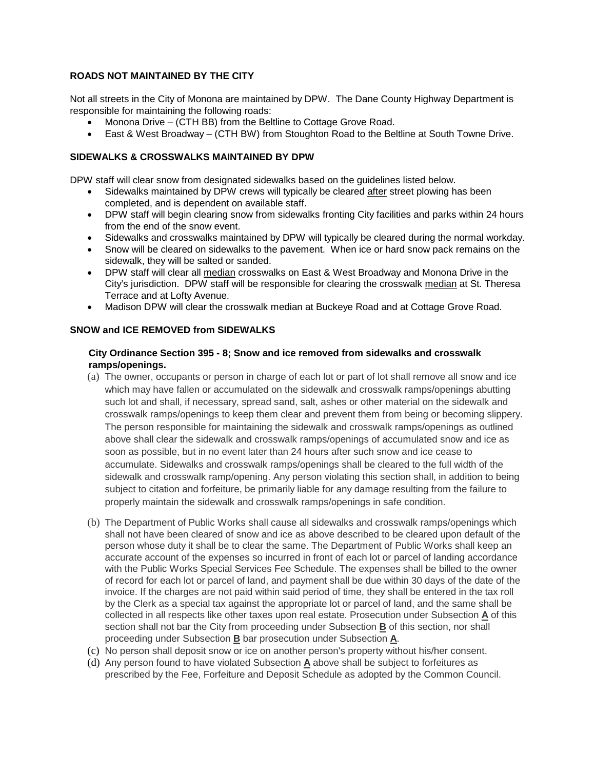#### **ROADS NOT MAINTAINED BY THE CITY**

Not all streets in the City of Monona are maintained by DPW. The Dane County Highway Department is responsible for maintaining the following roads:

- Monona Drive (CTH BB) from the Beltline to Cottage Grove Road.
- East & West Broadway (CTH BW) from Stoughton Road to the Beltline at South Towne Drive.

#### **SIDEWALKS & CROSSWALKS MAINTAINED BY DPW**

DPW staff will clear snow from designated sidewalks based on the guidelines listed below.

- Sidewalks maintained by DPW crews will typically be cleared after street plowing has been completed, and is dependent on available staff.
- DPW staff will begin clearing snow from sidewalks fronting City facilities and parks within 24 hours from the end of the snow event.
- Sidewalks and crosswalks maintained by DPW will typically be cleared during the normal workday.
- Snow will be cleared on sidewalks to the pavement. When ice or hard snow pack remains on the sidewalk, they will be salted or sanded.
- DPW staff will clear all median crosswalks on East & West Broadway and Monona Drive in the City's jurisdiction. DPW staff will be responsible for clearing the crosswalk median at St. Theresa Terrace and at Lofty Avenue.
- Madison DPW will clear the crosswalk median at Buckeye Road and at Cottage Grove Road.

#### **SNOW and ICE REMOVED from SIDEWALKS**

#### **City Ordinance Section 395 - 8; Snow and ice removed from sidewalks and crosswalk ramps/openings.**

- (a) The owner, occupants or person in charge of each lot or part of lot shall remove all snow and ice which may have fallen or accumulated on the sidewalk and crosswalk ramps/openings abutting such lot and shall, if necessary, spread sand, salt, ashes or other material on the sidewalk and crosswalk ramps/openings to keep them clear and prevent them from being or becoming slippery. The person responsible for maintaining the sidewalk and crosswalk ramps/openings as outlined above shall clear the sidewalk and crosswalk ramps/openings of accumulated snow and ice as soon as possible, but in no event later than 24 hours after such snow and ice cease to accumulate. Sidewalks and crosswalk ramps/openings shall be cleared to the full width of the sidewalk and crosswalk ramp/opening. Any person violating this section shall, in addition to being subject to citation and forfeiture, be primarily liable for any damage resulting from the failure to properly maintain the sidewalk and crosswalk ramps/openings in safe condition.
- (b) The Department of Public Works shall cause all sidewalks and crosswalk ramps/openings which shall not have been cleared of snow and ice as above described to be cleared upon default of the person whose duty it shall be to clear the same. The Department of Public Works shall keep an accurate account of the expenses so incurred in front of each lot or parcel of landing accordance with the Public Works Special Services Fee Schedule. The expenses shall be billed to the owner of record for each lot or parcel of land, and payment shall be due within 30 days of the date of the invoice. If the charges are not paid within said period of time, they shall be entered in the tax roll by the Clerk as a special tax against the appropriate lot or parcel of land, and the same shall be collected in all respects like other taxes upon real estate. Prosecution under Subsection **[A](https://ecode360.com/30665109#30665109)** of this section shall not bar the City from proceeding under Subsection **[B](https://ecode360.com/30665110#30665110)** of this section, nor shall proceeding under Subsection **[B](https://ecode360.com/30665110#30665110)** bar prosecution under Subsection **[A](https://ecode360.com/30665109#30665109)**.
- (c) No person shall deposit snow or ice on another person's property without his/her consent.
- (d) Any person found to have violated Subsection **[A](https://ecode360.com/30665109#30665109)** above shall be subject to forfeitures as prescribed by the Fee, Forfeiture and Deposit Schedule as adopted by the Common Council.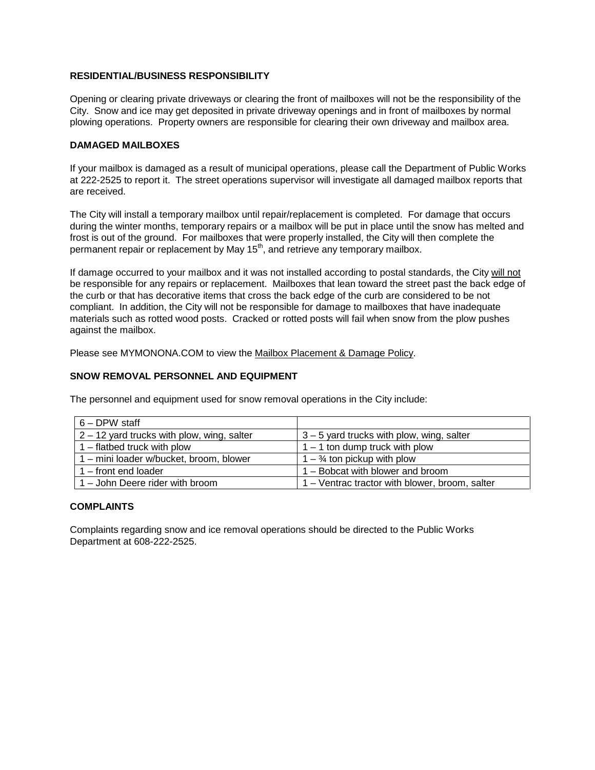#### **RESIDENTIAL/BUSINESS RESPONSIBILITY**

Opening or clearing private driveways or clearing the front of mailboxes will not be the responsibility of the City. Snow and ice may get deposited in private driveway openings and in front of mailboxes by normal plowing operations. Property owners are responsible for clearing their own driveway and mailbox area.

#### **DAMAGED MAILBOXES**

If your mailbox is damaged as a result of municipal operations, please call the Department of Public Works at 222-2525 to report it. The street operations supervisor will investigate all damaged mailbox reports that are received.

The City will install a temporary mailbox until repair/replacement is completed. For damage that occurs during the winter months, temporary repairs or a mailbox will be put in place until the snow has melted and frost is out of the ground. For mailboxes that were properly installed, the City will then complete the permanent repair or replacement by May 15<sup>th</sup>, and retrieve any temporary mailbox.

If damage occurred to your mailbox and it was not installed according to postal standards, the City will not be responsible for any repairs or replacement. Mailboxes that lean toward the street past the back edge of the curb or that has decorative items that cross the back edge of the curb are considered to be not compliant. In addition, the City will not be responsible for damage to mailboxes that have inadequate materials such as rotted wood posts. Cracked or rotted posts will fail when snow from the plow pushes against the mailbox.

Please see MYMONONA.COM to view the Mailbox Placement & Damage Policy.

#### **SNOW REMOVAL PERSONNEL AND EQUIPMENT**

The personnel and equipment used for snow removal operations in the City include:

| $6 -$ DPW staff                              |                                                |
|----------------------------------------------|------------------------------------------------|
| $2 - 12$ yard trucks with plow, wing, salter | $3 - 5$ yard trucks with plow, wing, salter    |
| 1 – flatbed truck with plow                  | $1 - 1$ ton dump truck with plow               |
| 1 - mini loader w/bucket, broom, blower      | $1 - \frac{3}{4}$ ton pickup with plow         |
| $1 -$ front end loader                       | 1 – Bobcat with blower and broom               |
| 1 - John Deere rider with broom              | 1 – Ventrac tractor with blower, broom, salter |

#### **COMPLAINTS**

Complaints regarding snow and ice removal operations should be directed to the Public Works Department at 608-222-2525.